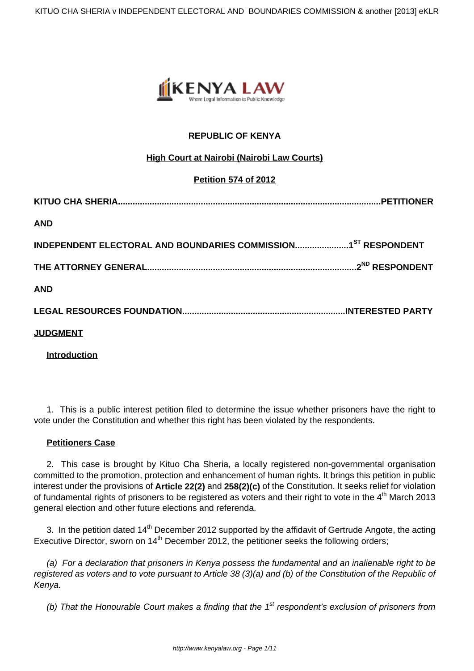

# **REPUBLIC OF KENYA**

# **High Court at Nairobi (Nairobi Law Courts)**

# **Petition 574 of 2012**

| <b>AND</b>      |  |
|-----------------|--|
|                 |  |
|                 |  |
| <b>AND</b>      |  |
|                 |  |
| <b>JUDGMENT</b> |  |

**Introduction**

1. This is a public interest petition filed to determine the issue whether prisoners have the right to vote under the Constitution and whether this right has been violated by the respondents.

### **Petitioners Case**

2. This case is brought by Kituo Cha Sheria, a locally registered non-governmental organisation committed to the promotion, protection and enhancement of human rights. It brings this petition in public interest under the provisions of **Article 22(2)** and **258(2)(c)** of the Constitution. It seeks relief for violation of fundamental rights of prisoners to be registered as voters and their right to vote in the 4<sup>th</sup> March 2013 general election and other future elections and referenda.

3. In the petition dated 14<sup>th</sup> December 2012 supported by the affidavit of Gertrude Angote, the acting Executive Director, sworn on 14<sup>th</sup> December 2012, the petitioner seeks the following orders;

(a) For a declaration that prisoners in Kenya possess the fundamental and an inalienable right to be registered as voters and to vote pursuant to Article 38 (3)(a) and (b) of the Constitution of the Republic of Kenya.

(b) That the Honourable Court makes a finding that the  $1<sup>st</sup>$  respondent's exclusion of prisoners from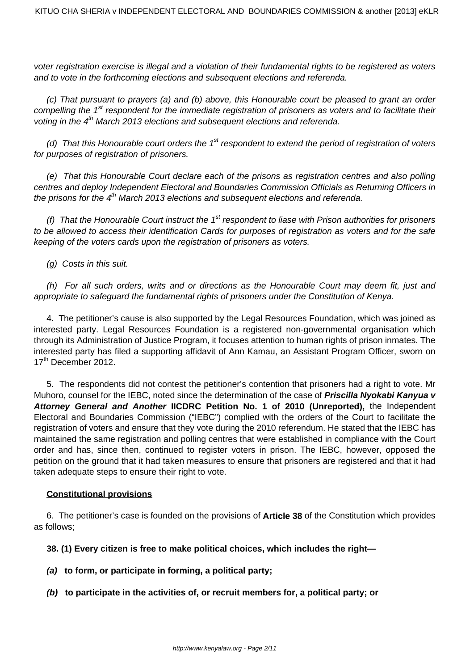voter registration exercise is illegal and a violation of their fundamental rights to be registered as voters and to vote in the forthcoming elections and subsequent elections and referenda.

(c) That pursuant to prayers (a) and (b) above, this Honourable court be pleased to grant an order compelling the 1<sup>st</sup> respondent for the immediate registration of prisoners as voters and to facilitate their voting in the  $4<sup>th</sup>$  March 2013 elections and subsequent elections and referenda.

(d) That this Honourable court orders the  $1<sup>st</sup>$  respondent to extend the period of registration of voters for purposes of registration of prisoners.

(e) That this Honourable Court declare each of the prisons as registration centres and also polling centres and deploy Independent Electoral and Boundaries Commission Officials as Returning Officers in the prisons for the  $4<sup>th</sup>$  March 2013 elections and subsequent elections and referenda.

(f) That the Honourable Court instruct the  $1<sup>st</sup>$  respondent to liase with Prison authorities for prisoners to be allowed to access their identification Cards for purposes of registration as voters and for the safe keeping of the voters cards upon the registration of prisoners as voters.

(g) Costs in this suit.

(h) For all such orders, writs and or directions as the Honourable Court may deem fit, just and appropriate to safeguard the fundamental rights of prisoners under the Constitution of Kenya.

4. The petitioner's cause is also supported by the Legal Resources Foundation, which was joined as interested party. Legal Resources Foundation is a registered non-governmental organisation which through its Administration of Justice Program, it focuses attention to human rights of prison inmates. The interested party has filed a supporting affidavit of Ann Kamau, an Assistant Program Officer, sworn on 17<sup>th</sup> December 2012.

5. The respondents did not contest the petitioner's contention that prisoners had a right to vote. Mr Muhoro, counsel for the IEBC, noted since the determination of the case of **Priscilla Nyokabi Kanyua v** Attorney General and Another **IICDRC** Petition No. 1 of 2010 (Unreported), the Independent Electoral and Boundaries Commission ("IEBC") complied with the orders of the Court to facilitate the registration of voters and ensure that they vote during the 2010 referendum. He stated that the IEBC has maintained the same registration and polling centres that were established in compliance with the Court order and has, since then, continued to register voters in prison. The IEBC, however, opposed the petition on the ground that it had taken measures to ensure that prisoners are registered and that it had taken adequate steps to ensure their right to vote.

### **Constitutional provisions**

6. The petitioner's case is founded on the provisions of **Article 38** of the Constitution which provides as follows;

**38. (1) Every citizen is free to make political choices, which includes the right—** 

**(a) to form, or participate in forming, a political party;** 

**(b) to participate in the activities of, or recruit members for, a political party; or**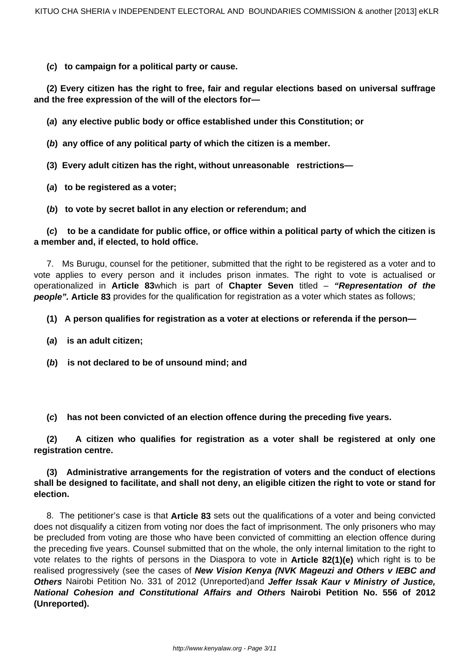**(c) to campaign for a political party or cause.** 

**(2) Every citizen has the right to free, fair and regular elections based on universal suffrage and the free expression of the will of the electors for—** 

**(a) any elective public body or office established under this Constitution; or** 

**(b) any office of any political party of which the citizen is a member.** 

**(3) Every adult citizen has the right, without unreasonable restrictions—** 

**(a) to be registered as a voter;** 

**(b) to vote by secret ballot in any election or referendum; and** 

**(c) to be a candidate for public office, or office within a political party of which the citizen is a member and, if elected, to hold office.**

7. Ms Burugu, counsel for the petitioner, submitted that the right to be registered as a voter and to vote applies to every person and it includes prison inmates. The right to vote is actualised or operationalized in **Article 83**which is part of **Chapter Seven** titled – **"Representation of the people". Article 83** provides for the qualification for registration as a voter which states as follows;

## **(1) A person qualifies for registration as a voter at elections or referenda if the person—**

- **(a) is an adult citizen;**
- **(b) is not declared to be of unsound mind; and**
- **(c) has not been convicted of an election offence during the preceding five years.**

**(2) A citizen who qualifies for registration as a voter shall be registered at only one registration centre.** 

## **(3) Administrative arrangements for the registration of voters and the conduct of elections shall be designed to facilitate, and shall not deny, an eligible citizen the right to vote or stand for election.**

8. The petitioner's case is that **Article 83** sets out the qualifications of a voter and being convicted does not disqualify a citizen from voting nor does the fact of imprisonment. The only prisoners who may be precluded from voting are those who have been convicted of committing an election offence during the preceding five years. Counsel submitted that on the whole, the only internal limitation to the right to vote relates to the rights of persons in the Diaspora to vote in **Article 82(1)(e)** which right is to be realised progressively (see the cases of **New Vision Kenya (NVK Mageuzi and Others v IEBC and Others** Nairobi Petition No. 331 of 2012 (Unreported)and **Jeffer Issak Kaur v Ministry of Justice, National Cohesion and Constitutional Affairs and Others Nairobi Petition No. 556 of 2012 (Unreported).**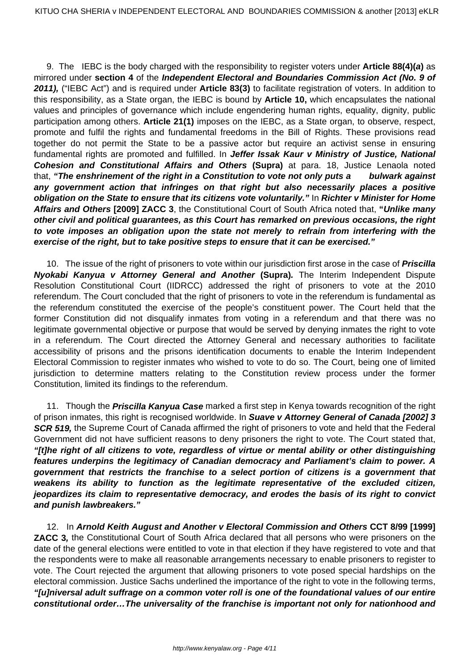9. The IEBC is the body charged with the responsibility to register voters under **Article 88(4)(a)** as mirrored under **section 4** of the **Independent Electoral and Boundaries Commission Act (No. 9 of 2011),** ("IEBC Act") and is required under **Article 83(3)** to facilitate registration of voters. In addition to this responsibility, as a State organ, the IEBC is bound by **Article 10,** which encapsulates the national values and principles of governance which include engendering human rights, equality, dignity, public participation among others. **Article 21(1)** imposes on the IEBC, as a State organ, to observe, respect, promote and fulfil the rights and fundamental freedoms in the Bill of Rights. These provisions read together do not permit the State to be a passive actor but require an activist sense in ensuring fundamental rights are promoted and fulfilled. In **Jeffer Issak Kaur v Ministry of Justice, National Cohesion and Constitutional Affairs and Others (Supra)** at para. 18, Justice Lenaola noted that, **"The enshrinement of the right in a Constitution to vote not only puts a bulwark against any government action that infringes on that right but also necessarily places a positive obligation on the State to ensure that its citizens vote voluntarily."** In **Richter v Minister for Home Affairs and Others [2009] ZACC 3**, the Constitutional Court of South Africa noted that, **"Unlike many other civil and political guarantees, as this Court has remarked on previous occasions, the right to vote imposes an obligation upon the state not merely to refrain from interfering with the exercise of the right, but to take positive steps to ensure that it can be exercised."**

10. The issue of the right of prisoners to vote within our jurisdiction first arose in the case of **Priscilla Nyokabi Kanyua v Attorney General and Another (Supra).** The Interim Independent Dispute Resolution Constitutional Court (IIDRCC) addressed the right of prisoners to vote at the 2010 referendum. The Court concluded that the right of prisoners to vote in the referendum is fundamental as the referendum constituted the exercise of the people's constituent power. The Court held that the former Constitution did not disqualify inmates from voting in a referendum and that there was no legitimate governmental objective or purpose that would be served by denying inmates the right to vote in a referendum. The Court directed the Attorney General and necessary authorities to facilitate accessibility of prisons and the prisons identification documents to enable the Interim Independent Electoral Commission to register inmates who wished to vote to do so. The Court, being one of limited jurisdiction to determine matters relating to the Constitution review process under the former Constitution, limited its findings to the referendum.

11. Though the **Priscilla Kanyua Case** marked a first step in Kenya towards recognition of the right of prison inmates, this right is recognised worldwide. In **Suave v Attorney General of Canada [2002] 3 SCR 519,** the Supreme Court of Canada affirmed the right of prisoners to vote and held that the Federal Government did not have sufficient reasons to deny prisoners the right to vote. The Court stated that, **"[t]he right of all citizens to vote, regardless of virtue or mental ability or other distinguishing features underpins the legitimacy of Canadian democracy and Parliament's claim to power. A government that restricts the franchise to a select portion of citizens is a government that weakens its ability to function as the legitimate representative of the excluded citizen, jeopardizes its claim to representative democracy, and erodes the basis of its right to convict and punish lawbreakers."**

12. In **Arnold Keith August and Another v Electoral Commission and Others CCT 8/99 [1999] ZACC 3,** the Constitutional Court of South Africa declared that all persons who were prisoners on the date of the general elections were entitled to vote in that election if they have registered to vote and that the respondents were to make all reasonable arrangements necessary to enable prisoners to register to vote. The Court rejected the argument that allowing prisoners to vote posed special hardships on the electoral commission. Justice Sachs underlined the importance of the right to vote in the following terms, **"[u]niversal adult suffrage on a common voter roll is one of the foundational values of our entire constitutional order…The universality of the franchise is important not only for nationhood and**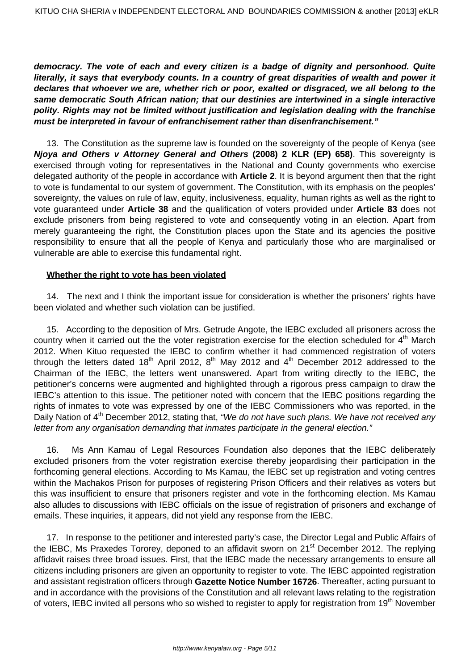**democracy. The vote of each and every citizen is a badge of dignity and personhood. Quite literally, it says that everybody counts. In a country of great disparities of wealth and power it declares that whoever we are, whether rich or poor, exalted or disgraced, we all belong to the same democratic South African nation; that our destinies are intertwined in a single interactive polity. Rights may not be limited without justification and legislation dealing with the franchise must be interpreted in favour of enfranchisement rather than disenfranchisement."** 

13. The Constitution as the supreme law is founded on the sovereignty of the people of Kenya (see **Njoya and Others v Attorney General and Others (2008) 2 KLR (EP) 658)**. This sovereignty is exercised through voting for representatives in the National and County governments who exercise delegated authority of the people in accordance with **Article 2**. It is beyond argument then that the right to vote is fundamental to our system of government. The Constitution, with its emphasis on the peoples' sovereignty, the values on rule of law, equity, inclusiveness, equality, human rights as well as the right to vote guaranteed under **Article 38** and the qualification of voters provided under **Article 83** does not exclude prisoners from being registered to vote and consequently voting in an election. Apart from merely guaranteeing the right, the Constitution places upon the State and its agencies the positive responsibility to ensure that all the people of Kenya and particularly those who are marginalised or vulnerable are able to exercise this fundamental right.

#### **Whether the right to vote has been violated**

14. The next and I think the important issue for consideration is whether the prisoners' rights have been violated and whether such violation can be justified.

15. According to the deposition of Mrs. Getrude Angote, the IEBC excluded all prisoners across the country when it carried out the the voter registration exercise for the election scheduled for  $4<sup>th</sup>$  March 2012. When Kituo requested the IEBC to confirm whether it had commenced registration of voters through the letters dated 18<sup>th</sup> April 2012, 8<sup>th</sup> May 2012 and 4<sup>th</sup> December 2012 addressed to the Chairman of the IEBC, the letters went unanswered. Apart from writing directly to the IEBC, the petitioner's concerns were augmented and highlighted through a rigorous press campaign to draw the IEBC's attention to this issue. The petitioner noted with concern that the IEBC positions regarding the rights of inmates to vote was expressed by one of the IEBC Commissioners who was reported, in the Daily Nation of 4<sup>th</sup> December 2012, stating that, "We do not have such plans. We have not received any letter from any organisation demanding that inmates participate in the general election."

16. Ms Ann Kamau of Legal Resources Foundation also depones that the IEBC deliberately excluded prisoners from the voter registration exercise thereby jeopardising their participation in the forthcoming general elections. According to Ms Kamau, the IEBC set up registration and voting centres within the Machakos Prison for purposes of registering Prison Officers and their relatives as voters but this was insufficient to ensure that prisoners register and vote in the forthcoming election. Ms Kamau also alludes to discussions with IEBC officials on the issue of registration of prisoners and exchange of emails. These inquiries, it appears, did not yield any response from the IEBC.

17. In response to the petitioner and interested party's case, the Director Legal and Public Affairs of the IEBC, Ms Praxedes Tororey, deponed to an affidavit sworn on 21<sup>st</sup> December 2012. The replying affidavit raises three broad issues. First, that the IEBC made the necessary arrangements to ensure all citizens including prisoners are given an opportunity to register to vote. The IEBC appointed registration and assistant registration officers through **Gazette Notice Number 16726**. Thereafter, acting pursuant to and in accordance with the provisions of the Constitution and all relevant laws relating to the registration of voters, IEBC invited all persons who so wished to register to apply for registration from 19<sup>th</sup> November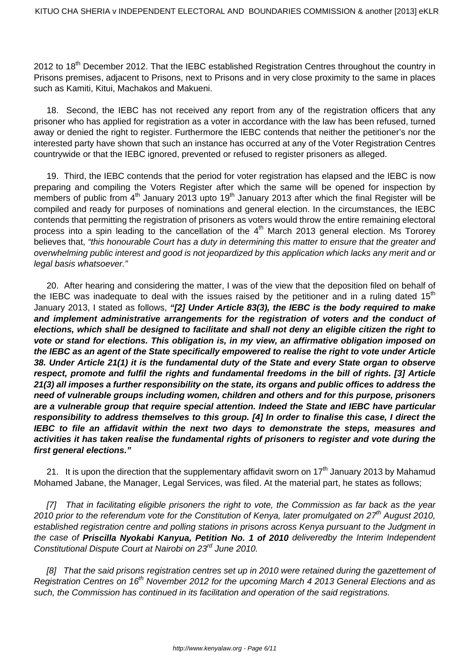2012 to 18<sup>th</sup> December 2012. That the IEBC established Registration Centres throughout the country in Prisons premises, adjacent to Prisons, next to Prisons and in very close proximity to the same in places such as Kamiti, Kitui, Machakos and Makueni.

18. Second, the IEBC has not received any report from any of the registration officers that any prisoner who has applied for registration as a voter in accordance with the law has been refused, turned away or denied the right to register. Furthermore the IEBC contends that neither the petitioner's nor the interested party have shown that such an instance has occurred at any of the Voter Registration Centres countrywide or that the IEBC ignored, prevented or refused to register prisoners as alleged.

19. Third, the IEBC contends that the period for voter registration has elapsed and the IEBC is now preparing and compiling the Voters Register after which the same will be opened for inspection by members of public from  $4<sup>th</sup>$  January 2013 upto 19<sup>th</sup> January 2013 after which the final Register will be compiled and ready for purposes of nominations and general election. In the circumstances, the IEBC contends that permitting the registration of prisoners as voters would throw the entire remaining electoral process into a spin leading to the cancellation of the  $4<sup>th</sup>$  March 2013 general election. Ms Tororey believes that, "this honourable Court has a duty in determining this matter to ensure that the greater and overwhelming public interest and good is not jeopardized by this application which lacks any merit and or legal basis whatsoever."

20. After hearing and considering the matter, I was of the view that the deposition filed on behalf of the IEBC was inadequate to deal with the issues raised by the petitioner and in a ruling dated  $15<sup>th</sup>$ January 2013, I stated as follows, **"[2] Under Article 83(3), the IEBC is the body required to make and implement administrative arrangements for the registration of voters and the conduct of elections, which shall be designed to facilitate and shall not deny an eligible citizen the right to vote or stand for elections. This obligation is, in my view, an affirmative obligation imposed on the IEBC as an agent of the State specifically empowered to realise the right to vote under Article 38. Under Article 21(1) it is the fundamental duty of the State and every State organ to observe respect, promote and fulfil the rights and fundamental freedoms in the bill of rights. [3] Article 21(3) all imposes a further responsibility on the state, its organs and public offices to address the need of vulnerable groups including women, children and others and for this purpose, prisoners are a vulnerable group that require special attention. Indeed the State and IEBC have particular responsibility to address themselves to this group. [4] In order to finalise this case, I direct the IEBC to file an affidavit within the next two days to demonstrate the steps, measures and activities it has taken realise the fundamental rights of prisoners to register and vote during the first general elections."**

21. It is upon the direction that the supplementary affidavit sworn on  $17<sup>th</sup>$  January 2013 by Mahamud Mohamed Jabane, the Manager, Legal Services, was filed. At the material part, he states as follows;

[7] That in facilitating eligible prisoners the right to vote, the Commission as far back as the year 2010 prior to the referendum vote for the Constitution of Kenya, later promulgated on  $27<sup>th</sup>$  August 2010, established registration centre and polling stations in prisons across Kenya pursuant to the Judgment in the case of **Priscilla Nyokabi Kanyua, Petition No. 1 of 2010** deliveredby the Interim Independent Constitutional Dispute Court at Nairobi on 23<sup>rd</sup> June 2010.

[8] That the said prisons registration centres set up in 2010 were retained during the gazettement of Registration Centres on 16<sup>th</sup> November 2012 for the upcoming March 4 2013 General Elections and as such, the Commission has continued in its facilitation and operation of the said registrations.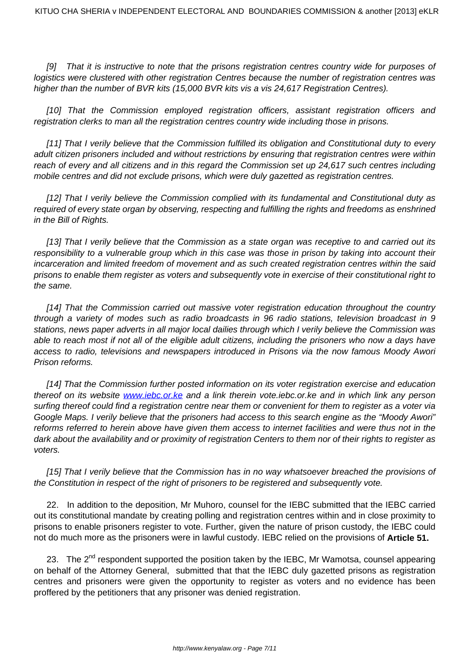[9] That it is instructive to note that the prisons registration centres country wide for purposes of logistics were clustered with other registration Centres because the number of registration centres was higher than the number of BVR kits (15,000 BVR kits vis a vis 24,617 Registration Centres).

[10] That the Commission employed registration officers, assistant registration officers and registration clerks to man all the registration centres country wide including those in prisons.

[11] That I verily believe that the Commission fulfilled its obligation and Constitutional duty to every adult citizen prisoners included and without restrictions by ensuring that registration centres were within reach of every and all citizens and in this regard the Commission set up 24,617 such centres including mobile centres and did not exclude prisons, which were duly gazetted as registration centres.

[12] That I verily believe the Commission complied with its fundamental and Constitutional duty as required of every state organ by observing, respecting and fulfilling the rights and freedoms as enshrined in the Bill of Rights.

[13] That I verily believe that the Commission as a state organ was receptive to and carried out its responsibility to a vulnerable group which in this case was those in prison by taking into account their incarceration and limited freedom of movement and as such created registration centres within the said prisons to enable them register as voters and subsequently vote in exercise of their constitutional right to the same.

[14] That the Commission carried out massive voter registration education throughout the country through a variety of modes such as radio broadcasts in 96 radio stations, television broadcast in 9 stations, news paper adverts in all major local dailies through which I verily believe the Commission was able to reach most if not all of the eligible adult citizens, including the prisoners who now a days have access to radio, televisions and newspapers introduced in Prisons via the now famous Moody Awori Prison reforms.

[14] That the Commission further posted information on its voter registration exercise and education thereof on its website [www.iebc.or.ke]("http://www.iebc.or.ke") and a link therein vote.iebc.or.ke and in which link any person surfing thereof could find a registration centre near them or convenient for them to register as a voter via Google Maps. I verily believe that the prisoners had access to this search engine as the "Moody Awori" reforms referred to herein above have given them access to internet facilities and were thus not in the dark about the availability and or proximity of registration Centers to them nor of their rights to register as voters.

[15] That I verily believe that the Commission has in no way whatsoever breached the provisions of the Constitution in respect of the right of prisoners to be registered and subsequently vote.

22. In addition to the deposition, Mr Muhoro, counsel for the IEBC submitted that the IEBC carried out its constitutional mandate by creating polling and registration centres within and in close proximity to prisons to enable prisoners register to vote. Further, given the nature of prison custody, the IEBC could not do much more as the prisoners were in lawful custody. IEBC relied on the provisions of **Article 51.** 

23. The 2<sup>nd</sup> respondent supported the position taken by the IEBC, Mr Wamotsa, counsel appearing on behalf of the Attorney General, submitted that that the IEBC duly gazetted prisons as registration centres and prisoners were given the opportunity to register as voters and no evidence has been proffered by the petitioners that any prisoner was denied registration.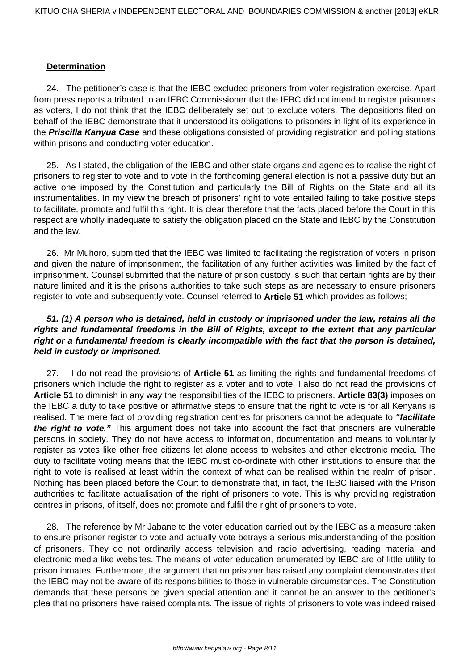#### **Determination**

24. The petitioner's case is that the IEBC excluded prisoners from voter registration exercise. Apart from press reports attributed to an IEBC Commissioner that the IEBC did not intend to register prisoners as voters, I do not think that the IEBC deliberately set out to exclude voters. The depositions filed on behalf of the IEBC demonstrate that it understood its obligations to prisoners in light of its experience in the **Priscilla Kanyua Case** and these obligations consisted of providing registration and polling stations within prisons and conducting voter education.

25. As I stated, the obligation of the IEBC and other state organs and agencies to realise the right of prisoners to register to vote and to vote in the forthcoming general election is not a passive duty but an active one imposed by the Constitution and particularly the Bill of Rights on the State and all its instrumentalities. In my view the breach of prisoners' right to vote entailed failing to take positive steps to facilitate, promote and fulfil this right. It is clear therefore that the facts placed before the Court in this respect are wholly inadequate to satisfy the obligation placed on the State and IEBC by the Constitution and the law.

26. Mr Muhoro, submitted that the IEBC was limited to facilitating the registration of voters in prison and given the nature of imprisonment, the facilitation of any further activities was limited by the fact of imprisonment. Counsel submitted that the nature of prison custody is such that certain rights are by their nature limited and it is the prisons authorities to take such steps as are necessary to ensure prisoners register to vote and subsequently vote. Counsel referred to **Article 51** which provides as follows;

## **51. (1) A person who is detained, held in custody or imprisoned under the law, retains all the rights and fundamental freedoms in the Bill of Rights, except to the extent that any particular right or a fundamental freedom is clearly incompatible with the fact that the person is detained, held in custody or imprisoned.**

27. I do not read the provisions of **Article 51** as limiting the rights and fundamental freedoms of prisoners which include the right to register as a voter and to vote. I also do not read the provisions of **Article 51** to diminish in any way the responsibilities of the IEBC to prisoners. **Article 83(3)** imposes on the IEBC a duty to take positive or affirmative steps to ensure that the right to vote is for all Kenyans is realised. The mere fact of providing registration centres for prisoners cannot be adequate to **"facilitate the right to vote."** This argument does not take into account the fact that prisoners are vulnerable persons in society. They do not have access to information, documentation and means to voluntarily register as votes like other free citizens let alone access to websites and other electronic media. The duty to facilitate voting means that the IEBC must co-ordinate with other institutions to ensure that the right to vote is realised at least within the context of what can be realised within the realm of prison. Nothing has been placed before the Court to demonstrate that, in fact, the IEBC liaised with the Prison authorities to facilitate actualisation of the right of prisoners to vote. This is why providing registration centres in prisons, of itself, does not promote and fulfil the right of prisoners to vote.

28. The reference by Mr Jabane to the voter education carried out by the IEBC as a measure taken to ensure prisoner register to vote and actually vote betrays a serious misunderstanding of the position of prisoners. They do not ordinarily access television and radio advertising, reading material and electronic media like websites. The means of voter education enumerated by IEBC are of little utility to prison inmates. Furthermore, the argument that no prisoner has raised any complaint demonstrates that the IEBC may not be aware of its responsibilities to those in vulnerable circumstances. The Constitution demands that these persons be given special attention and it cannot be an answer to the petitioner's plea that no prisoners have raised complaints. The issue of rights of prisoners to vote was indeed raised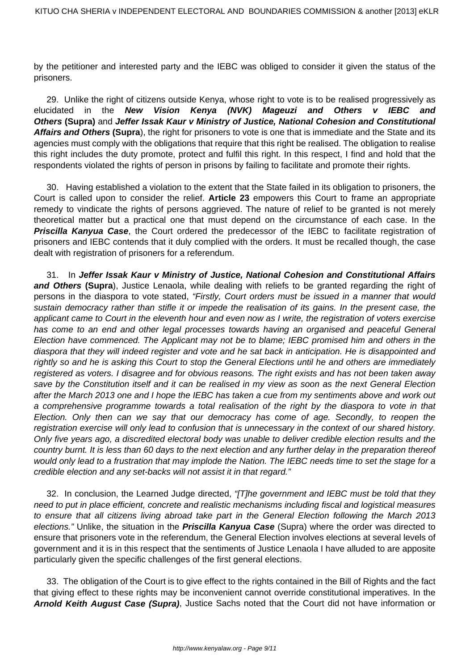by the petitioner and interested party and the IEBC was obliged to consider it given the status of the prisoners.

29. Unlike the right of citizens outside Kenya, whose right to vote is to be realised progressively as elucidated in the **New Vision Kenya (NVK) Mageuzi and Others v IEBC and Others (Supra)** and **Jeffer Issak Kaur v Ministry of Justice, National Cohesion and Constitutional Affairs and Others (Supra**), the right for prisoners to vote is one that is immediate and the State and its agencies must comply with the obligations that require that this right be realised. The obligation to realise this right includes the duty promote, protect and fulfil this right. In this respect, I find and hold that the respondents violated the rights of person in prisons by failing to facilitate and promote their rights.

30. Having established a violation to the extent that the State failed in its obligation to prisoners, the Court is called upon to consider the relief. **Article 23** empowers this Court to frame an appropriate remedy to vindicate the rights of persons aggrieved. The nature of relief to be granted is not merely theoretical matter but a practical one that must depend on the circumstance of each case. In the **Priscilla Kanyua Case**, the Court ordered the predecessor of the IEBC to facilitate registration of prisoners and IEBC contends that it duly complied with the orders. It must be recalled though, the case dealt with registration of prisoners for a referendum.

31. In **Jeffer Issak Kaur v Ministry of Justice, National Cohesion and Constitutional Affairs and Others (Supra**), Justice Lenaola, while dealing with reliefs to be granted regarding the right of persons in the diaspora to vote stated, "Firstly, Court orders must be issued in a manner that would sustain democracy rather than stifle it or impede the realisation of its gains. In the present case, the applicant came to Court in the eleventh hour and even now as I write, the registration of voters exercise has come to an end and other legal processes towards having an organised and peaceful General Election have commenced. The Applicant may not be to blame; IEBC promised him and others in the diaspora that they will indeed register and vote and he sat back in anticipation. He is disappointed and rightly so and he is asking this Court to stop the General Elections until he and others are immediately registered as voters. I disagree and for obvious reasons. The right exists and has not been taken away save by the Constitution itself and it can be realised in my view as soon as the next General Election after the March 2013 one and I hope the IEBC has taken a cue from my sentiments above and work out a comprehensive programme towards a total realisation of the right by the diaspora to vote in that Election. Only then can we say that our democracy has come of age. Secondly, to reopen the registration exercise will only lead to confusion that is unnecessary in the context of our shared history. Only five years ago, a discredited electoral body was unable to deliver credible election results and the country burnt. It is less than 60 days to the next election and any further delay in the preparation thereof would only lead to a frustration that may implode the Nation. The IEBC needs time to set the stage for a credible election and any set-backs will not assist it in that regard."

32. In conclusion, the Learned Judge directed, "[T]he government and IEBC must be told that they need to put in place efficient, concrete and realistic mechanisms including fiscal and logistical measures to ensure that all citizens living abroad take part in the General Election following the March 2013 elections." Unlike, the situation in the **Priscilla Kanyua Case** (Supra) where the order was directed to ensure that prisoners vote in the referendum, the General Election involves elections at several levels of government and it is in this respect that the sentiments of Justice Lenaola I have alluded to are apposite particularly given the specific challenges of the first general elections.

33. The obligation of the Court is to give effect to the rights contained in the Bill of Rights and the fact that giving effect to these rights may be inconvenient cannot override constitutional imperatives. In the **Arnold Keith August Case (Supra)**, Justice Sachs noted that the Court did not have information or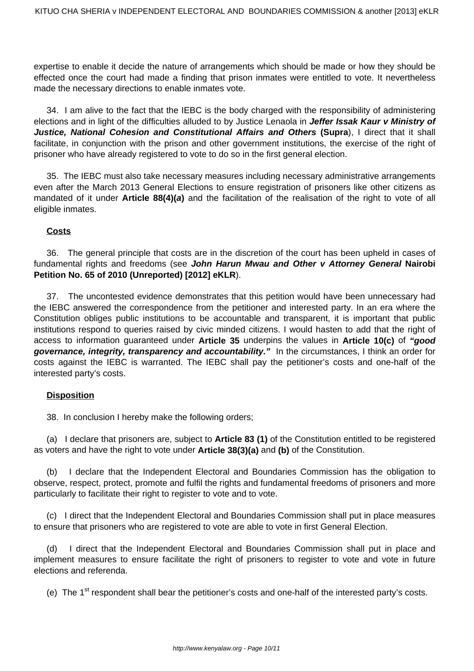expertise to enable it decide the nature of arrangements which should be made or how they should be effected once the court had made a finding that prison inmates were entitled to vote. It nevertheless made the necessary directions to enable inmates vote.

34. I am alive to the fact that the IEBC is the body charged with the responsibility of administering elections and in light of the difficulties alluded to by Justice Lenaola in **Jeffer Issak Kaur v Ministry of Justice, National Cohesion and Constitutional Affairs and Others (Supra**), I direct that it shall facilitate, in conjunction with the prison and other government institutions, the exercise of the right of prisoner who have already registered to vote to do so in the first general election.

35. The IEBC must also take necessary measures including necessary administrative arrangements even after the March 2013 General Elections to ensure registration of prisoners like other citizens as mandated of it under **Article 88(4)(a)** and the facilitation of the realisation of the right to vote of all eligible inmates.

## **Costs**

36. The general principle that costs are in the discretion of the court has been upheld in cases of fundamental rights and freedoms (see **John Harun Mwau and Other v Attorney General Nairobi Petition No. 65 of 2010 (Unreported) [2012] eKLR**).

37. The uncontested evidence demonstrates that this petition would have been unnecessary had the IEBC answered the correspondence from the petitioner and interested party. In an era where the Constitution obliges public institutions to be accountable and transparent, it is important that public institutions respond to queries raised by civic minded citizens. I would hasten to add that the right of access to information guaranteed under **Article 35** underpins the values in **Article 10(c)** of **"good governance, integrity, transparency and accountability."** In the circumstances, I think an order for costs against the IEBC is warranted. The IEBC shall pay the petitioner's costs and one-half of the interested party's costs.

### **Disposition**

38. In conclusion I hereby make the following orders;

(a) I declare that prisoners are, subject to **Article 83 (1)** of the Constitution entitled to be registered as voters and have the right to vote under **Article 38(3)(a)** and **(b)** of the Constitution.

(b) I declare that the Independent Electoral and Boundaries Commission has the obligation to observe, respect, protect, promote and fulfil the rights and fundamental freedoms of prisoners and more particularly to facilitate their right to register to vote and to vote.

(c) I direct that the Independent Electoral and Boundaries Commission shall put in place measures to ensure that prisoners who are registered to vote are able to vote in first General Election.

(d) I direct that the Independent Electoral and Boundaries Commission shall put in place and implement measures to ensure facilitate the right of prisoners to register to vote and vote in future elections and referenda.

(e) The  $1<sup>st</sup>$  respondent shall bear the petitioner's costs and one-half of the interested party's costs.